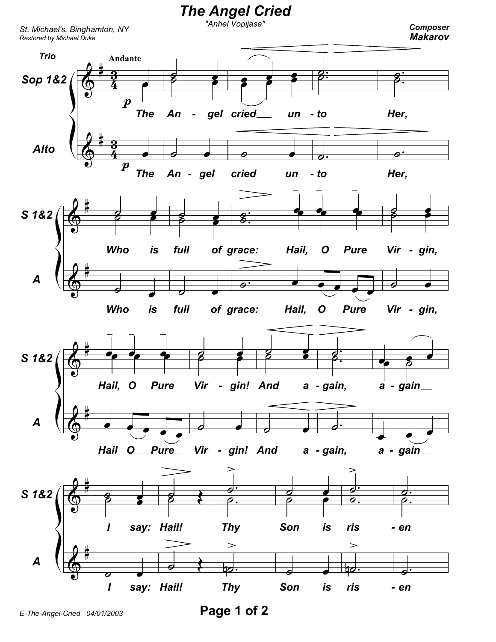

Page 1 of 2